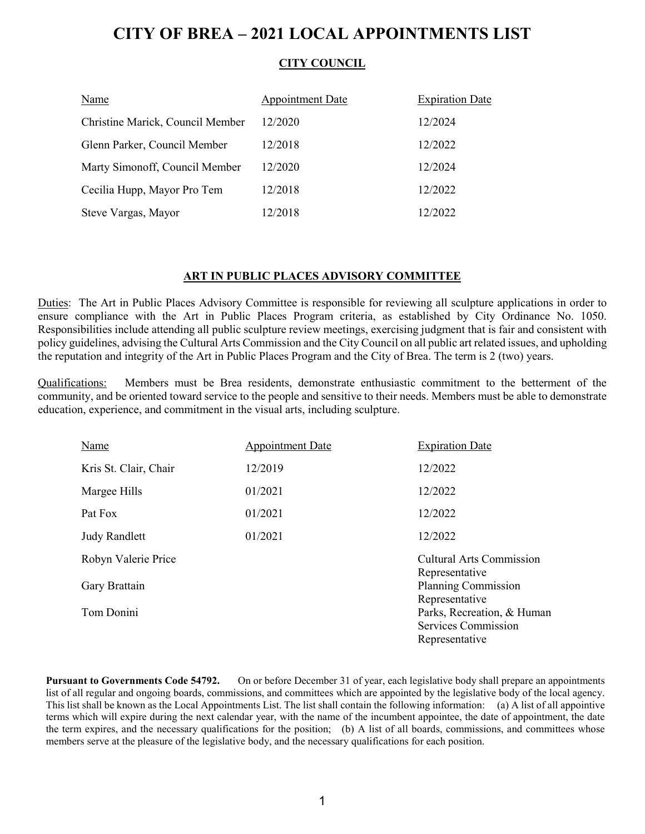## **CITY OF BREA – 2021 LOCAL APPOINTMENTS LIST**

### **CITY COUNCIL**

| Name                             | <b>Appointment Date</b> | <b>Expiration Date</b> |
|----------------------------------|-------------------------|------------------------|
| Christine Marick, Council Member | 12/2020                 | 12/2024                |
| Glenn Parker, Council Member     | 12/2018                 | 12/2022                |
| Marty Simonoff, Council Member   | 12/2020                 | 12/2024                |
| Cecilia Hupp, Mayor Pro Tem      | 12/2018                 | 12/2022                |
| Steve Vargas, Mayor              | 12/2018                 | 12/2022                |

#### **ART IN PUBLIC PLACES ADVISORY COMMITTEE**

Duties: The Art in Public Places Advisory Committee is responsible for reviewing all sculpture applications in order to ensure compliance with the Art in Public Places Program criteria, as established by City Ordinance No. 1050. Responsibilities include attending all public sculpture review meetings, exercising judgment that is fair and consistent with policy guidelines, advising the Cultural Arts Commission and the City Council on all public art related issues, and upholding the reputation and integrity of the Art in Public Places Program and the City of Brea. The term is 2 (two) years.

Qualifications: Members must be Brea residents, demonstrate enthusiastic commitment to the betterment of the community, and be oriented toward service to the people and sensitive to their needs. Members must be able to demonstrate education, experience, and commitment in the visual arts, including sculpture.

| Name                  | <b>Appointment Date</b> | <b>Expiration Date</b>                                  |
|-----------------------|-------------------------|---------------------------------------------------------|
| Kris St. Clair, Chair | 12/2019                 | 12/2022                                                 |
| Margee Hills          | 01/2021                 | 12/2022                                                 |
| Pat Fox               | 01/2021                 | 12/2022                                                 |
| <b>Judy Randlett</b>  | 01/2021                 | 12/2022                                                 |
| Robyn Valerie Price   |                         | <b>Cultural Arts Commission</b>                         |
| Gary Brattain         |                         | Representative<br>Planning Commission<br>Representative |
| Tom Donini            |                         | Parks, Recreation, & Human                              |
|                       |                         | Services Commission                                     |
|                       |                         | Representative                                          |

**Pursuant to Governments Code 54792.** On or before December 31 of year, each legislative body shall prepare an appointments list of all regular and ongoing boards, commissions, and committees which are appointed by the legislative body of the local agency. This list shall be known as the Local Appointments List. The list shall contain the following information: (a) A list of all appointive terms which will expire during the next calendar year, with the name of the incumbent appointee, the date of appointment, the date the term expires, and the necessary qualifications for the position; (b) A list of all boards, commissions, and committees whose members serve at the pleasure of the legislative body, and the necessary qualifications for each position.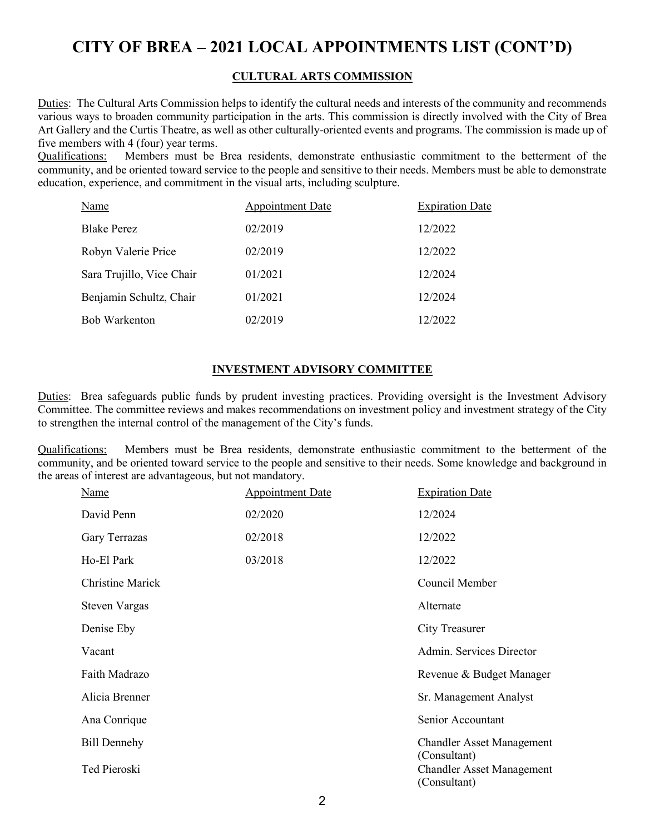## **CITY OF BREA – 2021 LOCAL APPOINTMENTS LIST (CONT'D)**

#### **CULTURAL ARTS COMMISSION**

Duties: The Cultural Arts Commission helps to identify the cultural needs and interests of the community and recommends various ways to broaden community participation in the arts. This commission is directly involved with the City of Brea Art Gallery and the Curtis Theatre, as well as other culturally-oriented events and programs. The commission is made up of five members with 4 (four) year terms.

Qualifications: Members must be Brea residents, demonstrate enthusiastic commitment to the betterment of the community, and be oriented toward service to the people and sensitive to their needs. Members must be able to demonstrate education, experience, and commitment in the visual arts, including sculpture.

| Name                      | Appointment Date | <b>Expiration Date</b> |
|---------------------------|------------------|------------------------|
| <b>Blake Perez</b>        | 02/2019          | 12/2022                |
| Robyn Valerie Price       | 02/2019          | 12/2022                |
| Sara Trujillo, Vice Chair | 01/2021          | 12/2024                |
| Benjamin Schultz, Chair   | 01/2021          | 12/2024                |
| <b>Bob Warkenton</b>      | 02/2019          | 12/2022                |

### **INVESTMENT ADVISORY COMMITTEE**

Duties: Brea safeguards public funds by prudent investing practices. Providing oversight is the Investment Advisory Committee. The committee reviews and makes recommendations on investment policy and investment strategy of the City to strengthen the internal control of the management of the City's funds.

Qualifications: Members must be Brea residents, demonstrate enthusiastic commitment to the betterment of the community, and be oriented toward service to the people and sensitive to their needs. Some knowledge and background in the areas of interest are advantageous, but not mandatory.

| <b>Name</b>             | <b>Appointment Date</b> | <b>Expiration Date</b>                                           |
|-------------------------|-------------------------|------------------------------------------------------------------|
| David Penn              | 02/2020                 | 12/2024                                                          |
| Gary Terrazas           | 02/2018                 | 12/2022                                                          |
| Ho-El Park              | 03/2018                 | 12/2022                                                          |
| <b>Christine Marick</b> |                         | Council Member                                                   |
| <b>Steven Vargas</b>    |                         | Alternate                                                        |
| Denise Eby              |                         | <b>City Treasurer</b>                                            |
| Vacant                  |                         | Admin. Services Director                                         |
| Faith Madrazo           |                         | Revenue & Budget Manager                                         |
| Alicia Brenner          |                         | Sr. Management Analyst                                           |
| Ana Conrique            |                         | Senior Accountant                                                |
| <b>Bill Dennehy</b>     |                         | <b>Chandler Asset Management</b>                                 |
| Ted Pieroski            |                         | (Consultant)<br><b>Chandler Asset Management</b><br>(Consultant) |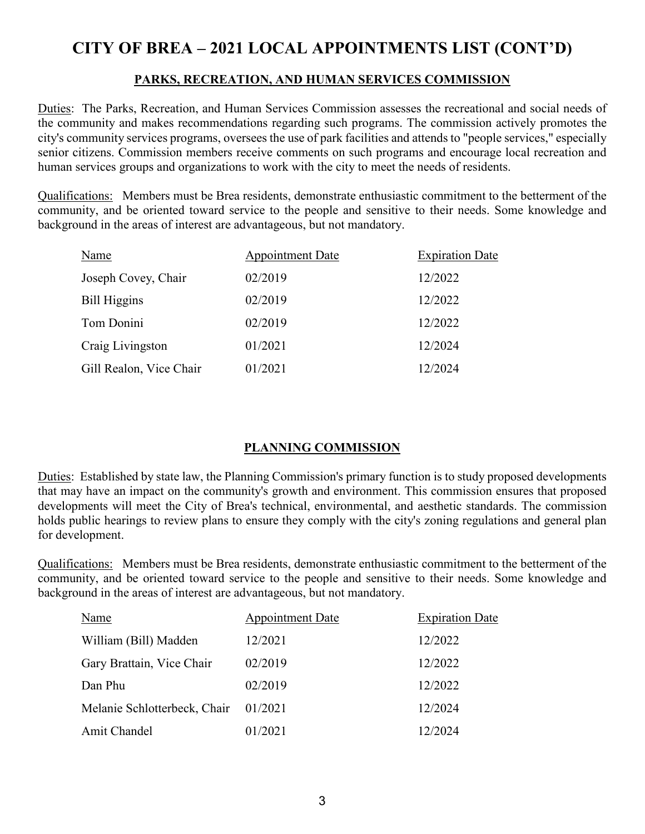# **CITY OF BREA – 2021 LOCAL APPOINTMENTS LIST (CONT'D)**

## **PARKS, RECREATION, AND HUMAN SERVICES COMMISSION**

Duties: The Parks, Recreation, and Human Services Commission assesses the recreational and social needs of the community and makes recommendations regarding such programs. The commission actively promotes the city's community services programs, oversees the use of park facilities and attends to "people services," especially senior citizens. Commission members receive comments on such programs and encourage local recreation and human services groups and organizations to work with the city to meet the needs of residents.

Qualifications: Members must be Brea residents, demonstrate enthusiastic commitment to the betterment of the community, and be oriented toward service to the people and sensitive to their needs. Some knowledge and background in the areas of interest are advantageous, but not mandatory.

| Name                    | <b>Appointment Date</b> | <b>Expiration Date</b> |
|-------------------------|-------------------------|------------------------|
| Joseph Covey, Chair     | 02/2019                 | 12/2022                |
| <b>Bill Higgins</b>     | 02/2019                 | 12/2022                |
| Tom Donini              | 02/2019                 | 12/2022                |
| Craig Livingston        | 01/2021                 | 12/2024                |
| Gill Realon, Vice Chair | 01/2021                 | 12/2024                |

## **PLANNING COMMISSION**

Duties: Established by state law, the Planning Commission's primary function is to study proposed developments that may have an impact on the community's growth and environment. This commission ensures that proposed developments will meet the City of Brea's technical, environmental, and aesthetic standards. The commission holds public hearings to review plans to ensure they comply with the city's zoning regulations and general plan for development.

Qualifications: Members must be Brea residents, demonstrate enthusiastic commitment to the betterment of the community, and be oriented toward service to the people and sensitive to their needs. Some knowledge and background in the areas of interest are advantageous, but not mandatory.

| Name                         | Appointment Date | <b>Expiration Date</b> |
|------------------------------|------------------|------------------------|
| William (Bill) Madden        | 12/2021          | 12/2022                |
| Gary Brattain, Vice Chair    | 02/2019          | 12/2022                |
| Dan Phu                      | 02/2019          | 12/2022                |
| Melanie Schlotterbeck, Chair | 01/2021          | 12/2024                |
| Amit Chandel                 | 01/2021          | 12/2024                |